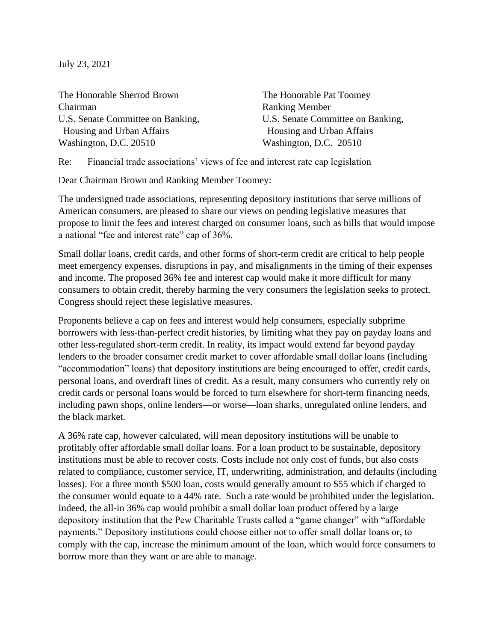July 23, 2021

The Honorable Sherrod Brown The Honorable Pat Toomey Chairman Ranking Member Housing and Urban Affairs Housing and Urban Affairs Washington, D.C. 20510 Washington, D.C. 20510

U.S. Senate Committee on Banking, <br>U.S. Senate Committee on Banking,

Re: Financial trade associations' views of fee and interest rate cap legislation

Dear Chairman Brown and Ranking Member Toomey:

The undersigned trade associations, representing depository institutions that serve millions of American consumers, are pleased to share our views on pending legislative measures that propose to limit the fees and interest charged on consumer loans, such as bills that would impose a national "fee and interest rate" cap of 36%.

Small dollar loans, credit cards, and other forms of short-term credit are critical to help people meet emergency expenses, disruptions in pay, and misalignments in the timing of their expenses and income. The proposed 36% fee and interest cap would make it more difficult for many consumers to obtain credit, thereby harming the very consumers the legislation seeks to protect. Congress should reject these legislative measures.

Proponents believe a cap on fees and interest would help consumers, especially subprime borrowers with less-than-perfect credit histories, by limiting what they pay on payday loans and other less-regulated short-term credit. In reality, its impact would extend far beyond payday lenders to the broader consumer credit market to cover affordable small dollar loans (including "accommodation" loans) that depository institutions are being encouraged to offer, credit cards, personal loans, and overdraft lines of credit. As a result, many consumers who currently rely on credit cards or personal loans would be forced to turn elsewhere for short-term financing needs, including pawn shops, online lenders—or worse—loan sharks, unregulated online lenders, and the black market.

A 36% rate cap, however calculated, will mean depository institutions will be unable to profitably offer affordable small dollar loans. For a loan product to be sustainable, depository institutions must be able to recover costs. Costs include not only cost of funds, but also costs related to compliance, customer service, IT, underwriting, administration, and defaults (including losses). For a three month \$500 loan, costs would generally amount to \$55 which if charged to the consumer would equate to a 44% rate. Such a rate would be prohibited under the legislation. Indeed, the all-in 36% cap would prohibit a small dollar loan product offered by a large depository institution that the Pew Charitable Trusts called a "game changer" with "affordable payments." Depository institutions could choose either not to offer small dollar loans or, to comply with the cap, increase the minimum amount of the loan, which would force consumers to borrow more than they want or are able to manage.